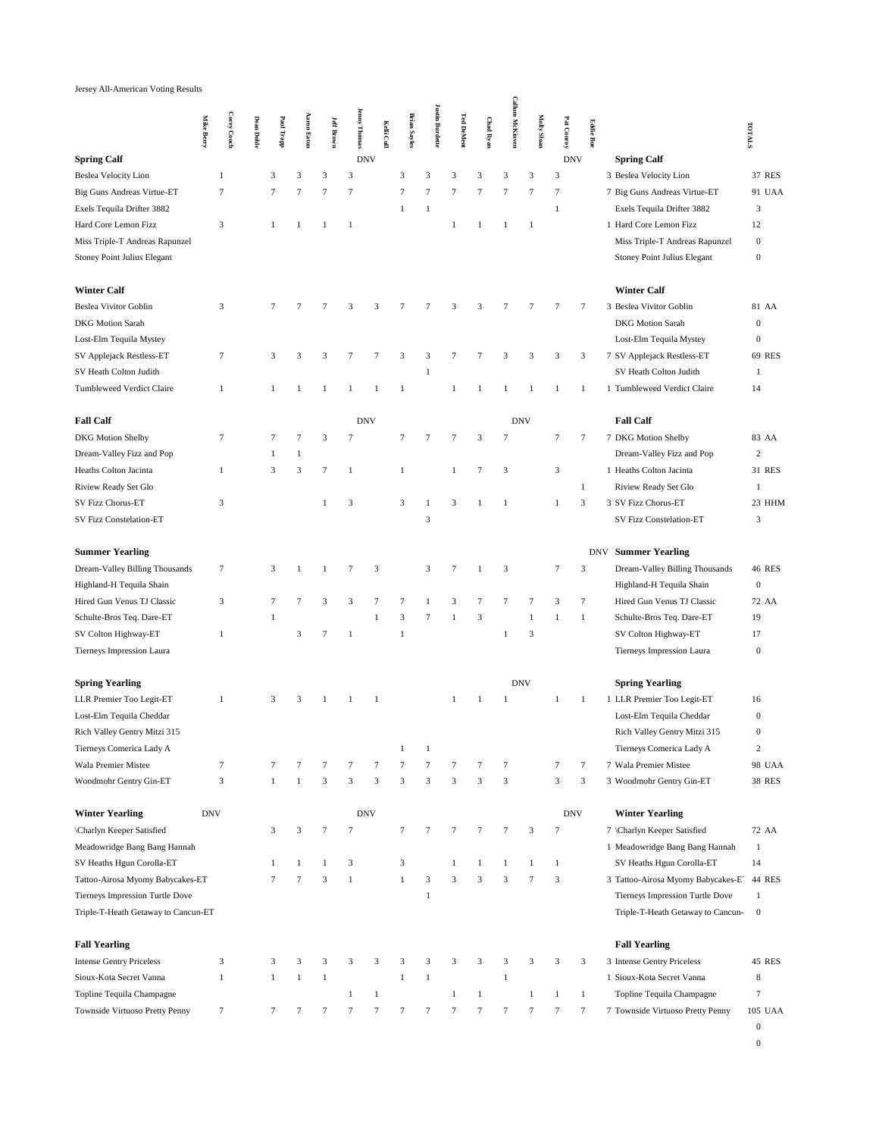## Jersey All-American Voting Results

|                                     | <b>Mike Berry</b> | Corey Couch   | <b>Dean Dohle</b> | Paul Trapp     | <b>Aaron Eaton</b> | <b>Jeff Brown</b> | <b>Jenny Thomas</b>     | Kelli Cull     | <b>Brian Sayles</b> | <b>Justin Burdette</b> | <b>Ted DeMent</b> | <b>Chad Ryan</b>        | <b>Callum McKinven</b> | Molly Sloan    | Pat Conroy   | <b>Eddie Bue</b> |                                    | TOTALS           |
|-------------------------------------|-------------------|---------------|-------------------|----------------|--------------------|-------------------|-------------------------|----------------|---------------------|------------------------|-------------------|-------------------------|------------------------|----------------|--------------|------------------|------------------------------------|------------------|
| <b>Spring Calf</b>                  |                   |               |                   |                |                    |                   |                         | <b>DNV</b>     |                     |                        |                   |                         |                        |                | <b>DNV</b>   |                  | <b>Spring Calf</b>                 |                  |
| <b>Beslea Velocity Lion</b>         |                   | $\mathbf{1}$  |                   | 3              | 3                  | 3                 | 3                       |                | 3                   | 3                      | 3                 | 3                       | 3                      | 3              | 3            |                  | 3 Beslea Velocity Lion             | 37 RES           |
| <b>Big Guns Andreas Virtue-ET</b>   |                   | $\tau$        |                   | 7              | $\tau$             | $\tau$            | $\tau$                  |                | $\tau$              | $\tau$                 | $\tau$            | $\tau$                  | 7                      | $\tau$         | 7            |                  | 7 Big Guns Andreas Virtue-ET       | 91 UAA           |
| Exels Tequila Drifter 3882          |                   |               |                   |                |                    |                   |                         |                | $\mathbf{1}$        | $\mathbf{1}$           |                   |                         |                        |                | $\mathbf{1}$ |                  | Exels Tequila Drifter 3882         | 3                |
| Hard Core Lemon Fizz                |                   | 3             |                   | $\mathbf{1}$   | 1                  | 1                 | $\mathbf{1}$            |                |                     |                        | $\mathbf{1}$      | 1                       | $\mathbf{1}$           | $\mathbf{1}$   |              |                  | 1 Hard Core Lemon Fizz             | 12               |
| Miss Triple-T Andreas Rapunzel      |                   |               |                   |                |                    |                   |                         |                |                     |                        |                   |                         |                        |                |              |                  | Miss Triple-T Andreas Rapunzel     | $\boldsymbol{0}$ |
| Stoney Point Julius Elegant         |                   |               |                   |                |                    |                   |                         |                |                     |                        |                   |                         |                        |                |              |                  | Stoney Point Julius Elegant        | $\bf{0}$         |
| <b>Winter Calf</b>                  |                   |               |                   |                |                    |                   |                         |                |                     |                        |                   |                         |                        |                |              |                  | <b>Winter Calf</b>                 |                  |
| <b>Beslea Vivitor Goblin</b>        |                   | $\mathfrak z$ |                   | 7              | 7                  |                   | 3                       | 3              |                     | 7                      | 3                 | 3                       | 7                      | 7              | 7            | 7                | 3 Beslea Vivitor Goblin            | 81 AA            |
| <b>DKG</b> Motion Sarah             |                   |               |                   |                |                    |                   |                         |                |                     |                        |                   |                         |                        |                |              |                  | <b>DKG</b> Motion Sarah            | $\boldsymbol{0}$ |
| Lost-Elm Tequila Mystey             |                   |               |                   |                |                    |                   |                         |                |                     |                        |                   |                         |                        |                |              |                  | Lost-Elm Tequila Mystey            | $\boldsymbol{0}$ |
| SV Applejack Restless-ET            |                   | $\tau$        |                   | 3              | 3                  | 3                 | 7                       | 7              | 3                   | 3                      | 7                 | $\tau$                  | 3                      | 3              | 3            | 3                | 7 SV Applejack Restless-ET         | 69 RES           |
| SV Heath Colton Judith              |                   |               |                   |                |                    |                   |                         |                |                     | $\mathbf{1}$           |                   |                         |                        |                |              |                  | SV Heath Colton Judith             | $\mathbf{1}$     |
| Tumbleweed Verdict Claire           |                   | $\mathbf{1}$  |                   | $\mathbf{1}$   | $\mathbf{1}$       | $\mathbf{1}$      | $\mathbf{1}$            | 1              | $\mathbf{1}$        |                        | $\mathbf{1}$      | $\mathbf{1}$            | 1                      | $\mathbf{1}$   | $\mathbf{1}$ | $\mathbf{1}$     | 1 Tumbleweed Verdict Claire        | 14               |
| <b>Fall Calf</b>                    |                   |               |                   |                |                    |                   |                         | <b>DNV</b>     |                     |                        |                   |                         |                        | <b>DNV</b>     |              |                  | <b>Fall Calf</b>                   |                  |
| <b>DKG</b> Motion Shelby            |                   | $\tau$        |                   | 7              | $\overline{7}$     | $\overline{3}$    | $\overline{7}$          |                | $\tau$              | 7                      | 7                 | $\overline{\mathbf{3}}$ | 7                      |                | 7            | $\overline{7}$   | 7 DKG Motion Shelby                | 83 AA            |
| Dream-Valley Fizz and Pop           |                   |               |                   | $\mathbf{1}$   | $\mathbf{1}$       |                   |                         |                |                     |                        |                   |                         |                        |                |              |                  | Dream-Valley Fizz and Pop          | $\boldsymbol{2}$ |
| Heaths Colton Jacinta               |                   | $\mathbf{1}$  |                   | 3              | 3                  | $\tau$            | $\mathbf{1}$            |                | $\mathbf{1}$        |                        | $\mathbf{1}$      | $\overline{7}$          | $\mathfrak{Z}$         |                | 3            |                  | 1 Heaths Colton Jacinta            | 31 RES           |
| Riview Ready Set Glo                |                   |               |                   |                |                    |                   |                         |                |                     |                        |                   |                         |                        |                |              | $\mathbf{1}$     | Riview Ready Set Glo               | 1                |
| SV Fizz Chorus-ET                   |                   | 3             |                   |                |                    | $\mathbf{1}$      | 3                       |                | 3                   | $\mathbf{1}$           | 3                 | 1                       | $\mathbf{1}$           |                | $\mathbf{1}$ | 3                | 3 SV Fizz Chorus-ET                | 23 HHM           |
| SV Fizz Constelation-ET             |                   |               |                   |                |                    |                   |                         |                |                     | 3                      |                   |                         |                        |                |              |                  | SV Fizz Constelation-ET            | 3                |
| <b>Summer Yearling</b>              |                   |               |                   |                |                    |                   |                         |                |                     |                        |                   |                         |                        |                |              |                  | <b>DNV</b> Summer Yearling         |                  |
| Dream-Valley Billing Thousands      |                   | $\tau$        |                   | 3              | $\mathbf{1}$       |                   | $\overline{7}$          | 3              |                     | 3                      | 7                 | $\mathbf{1}$            | $\mathfrak{Z}$         |                | 7            | 3                | Dream-Valley Billing Thousands     | 46 RES           |
| Highland-H Tequila Shain            |                   |               |                   |                |                    |                   |                         |                |                     |                        |                   |                         |                        |                |              |                  | Highland-H Tequila Shain           | $\boldsymbol{0}$ |
| Hired Gun Venus TJ Classic          |                   | 3             |                   | $\tau$         | $\overline{7}$     | 3                 | $\overline{\mathbf{3}}$ | $\overline{7}$ | $\overline{7}$      | $\mathbf{1}$           | 3                 | $\overline{7}$          | 7                      | $\overline{7}$ | 3            | $\tau$           | Hired Gun Venus TJ Classic         | 72 AA            |
| Schulte-Bros Teq. Dare-ET           |                   |               |                   | $\,1$          |                    |                   |                         | 1              | $\mathfrak z$       | 7                      | 1                 | $\overline{\mathbf{3}}$ |                        | $\mathbf{1}$   | $\mathbf{1}$ | $\mathbf{1}$     | Schulte-Bros Teq. Dare-ET          | 19               |
| SV Colton Highway-ET                |                   | $\mathbf{1}$  |                   |                | 3                  | 7                 | $\overline{1}$          |                | $\mathbf{1}$        |                        |                   |                         | 1                      | 3              |              |                  | SV Colton Highway-ET               | 17               |
| Tierneys Impression Laura           |                   |               |                   |                |                    |                   |                         |                |                     |                        |                   |                         |                        |                |              |                  | Tierneys Impression Laura          | $\boldsymbol{0}$ |
| <b>Spring Yearling</b>              |                   |               |                   |                |                    |                   |                         |                |                     |                        |                   |                         |                        | <b>DNV</b>     |              |                  | <b>Spring Yearling</b>             |                  |
| LLR Premier Too Legit-ET            |                   | $\mathbf{1}$  |                   | 3              | 3                  | $\mathbf{1}$      | $\mathbf{1}$            | 1              |                     |                        | $\mathbf{1}$      | 1                       | 1                      |                | $\mathbf{1}$ | $\mathbf{1}$     | 1 LLR Premier Too Legit-ET         | 16               |
| Lost-Elm Tequila Cheddar            |                   |               |                   |                |                    |                   |                         |                |                     |                        |                   |                         |                        |                |              |                  | Lost-Elm Tequila Cheddar           | $\boldsymbol{0}$ |
| Rich Valley Gentry Mitzi 315        |                   |               |                   |                |                    |                   |                         |                |                     |                        |                   |                         |                        |                |              |                  | Rich Valley Gentry Mitzi 315       | $\boldsymbol{0}$ |
| Tierneys Comerica Lady A            |                   |               |                   |                |                    |                   |                         |                | 1                   | $\mathbf{1}$           |                   |                         |                        |                |              |                  | Tierneys Comerica Lady A           | $\boldsymbol{2}$ |
| Wala Premier Mistee                 |                   | $\tau$        |                   | 7              |                    |                   | 7                       |                |                     | 7                      | 7                 | 7                       | 7                      |                | 7            | $\overline{7}$   | 7 Wala Premier Mistee              | 98 UAA           |
| Woodmohr Gentry Gin-ET              |                   | 3             |                   | $\mathbf{1}$   | -1                 | 3                 | 3                       | 3              | $\overline{3}$      | 3                      | 3                 | 3                       | $\overline{3}$         |                | 3            | 3                | 3 Woodmohr Gentry Gin-ET           | <b>38 RES</b>    |
| <b>Winter Yearling</b>              | <b>DNV</b>        |               |                   |                |                    |                   |                         | <b>DNV</b>     |                     |                        |                   |                         |                        |                | <b>DNV</b>   |                  | <b>Winter Yearling</b>             |                  |
| \Charlyn Keeper Satisfied           |                   |               |                   | 3              | $\mathfrak{Z}$     | $\tau$            | $\overline{7}$          |                | $\tau$              | $\tau$                 | $\tau$            | 7                       | $\tau$                 | 3              | $\tau$       |                  | 7 \Charlyn Keeper Satisfied        | 72 AA            |
| Meadowridge Bang Bang Hannah        |                   |               |                   |                |                    |                   |                         |                |                     |                        |                   |                         |                        |                |              |                  | 1 Meadowridge Bang Bang Hannah     | 1                |
| SV Heaths Hgun Corolla-ET           |                   |               |                   | 1              | 1                  | $\mathbf{1}$      | 3                       |                | 3                   |                        | $\mathbf{1}$      | 1                       | $\mathbf{1}$           | $\mathbf{1}$   | $\mathbf{1}$ |                  | SV Heaths Hgun Corolla-ET          | 14               |
| Tattoo-Airosa Myomy Babycakes-ET    |                   |               |                   | $\overline{7}$ | $\overline{7}$     | 3                 | $\mathbf{1}$            |                | $\mathbf{1}$        | 3                      | 3                 | $\overline{3}$          | 3                      | $\overline{7}$ | 3            |                  | 3 Tattoo-Airosa Myomy Babycakes-E. | 44 RES           |
| Tierneys Impression Turtle Dove     |                   |               |                   |                |                    |                   |                         |                |                     | $\mathbf{1}$           |                   |                         |                        |                |              |                  | Tierneys Impression Turtle Dove    | $\mathbf{1}$     |
| Triple-T-Heath Getaway to Cancun-ET |                   |               |                   |                |                    |                   |                         |                |                     |                        |                   |                         |                        |                |              |                  | Triple-T-Heath Getaway to Cancun-  | $\boldsymbol{0}$ |
| <b>Fall Yearling</b>                |                   |               |                   |                |                    |                   |                         |                |                     |                        |                   |                         |                        |                |              |                  | <b>Fall Yearling</b>               |                  |
| <b>Intense Gentry Priceless</b>     |                   | 3             |                   | 3              | 3                  | 3                 | 3                       | 3              | 3                   | 3                      | 3                 | 3                       | 3                      | 3              | 3            | 3                | 3 Intense Gentry Priceless         | 45 RES           |
| Sioux-Kota Secret Vanna             |                   | $\mathbf{1}$  |                   | $\mathbf{1}$   | $\mathbf{1}$       | $\mathbf{1}$      |                         |                | $\mathbf{1}$        | $\mathbf{1}$           |                   |                         | $\mathbf{1}$           |                |              |                  | 1 Sioux-Kota Secret Vanna          | 8                |
| Topline Tequila Champagne           |                   |               |                   |                |                    |                   | $\mathbf{1}$            | $\mathbf{1}$   |                     |                        | $\mathbf{1}$      | $\mathbf{1}$            |                        | $1\,$          | $\mathbf{1}$ | $\mathbf{1}$     | Topline Tequila Champagne          | 7                |
| Townside Virtuoso Pretty Penny      |                   | $\tau$        |                   | 7              | $\tau$             | $\tau$            | $\overline{7}$          | 7              | $\tau$              | $\tau$                 | $\tau$            | $\tau$                  | $\tau$                 | $\overline{7}$ | 7            | $\tau$           | 7 Townside Virtuoso Pretty Penny   | 105 UAA          |
|                                     |                   |               |                   |                |                    |                   |                         |                |                     |                        |                   |                         |                        |                |              |                  |                                    | $\boldsymbol{0}$ |

 $\mathbf 0$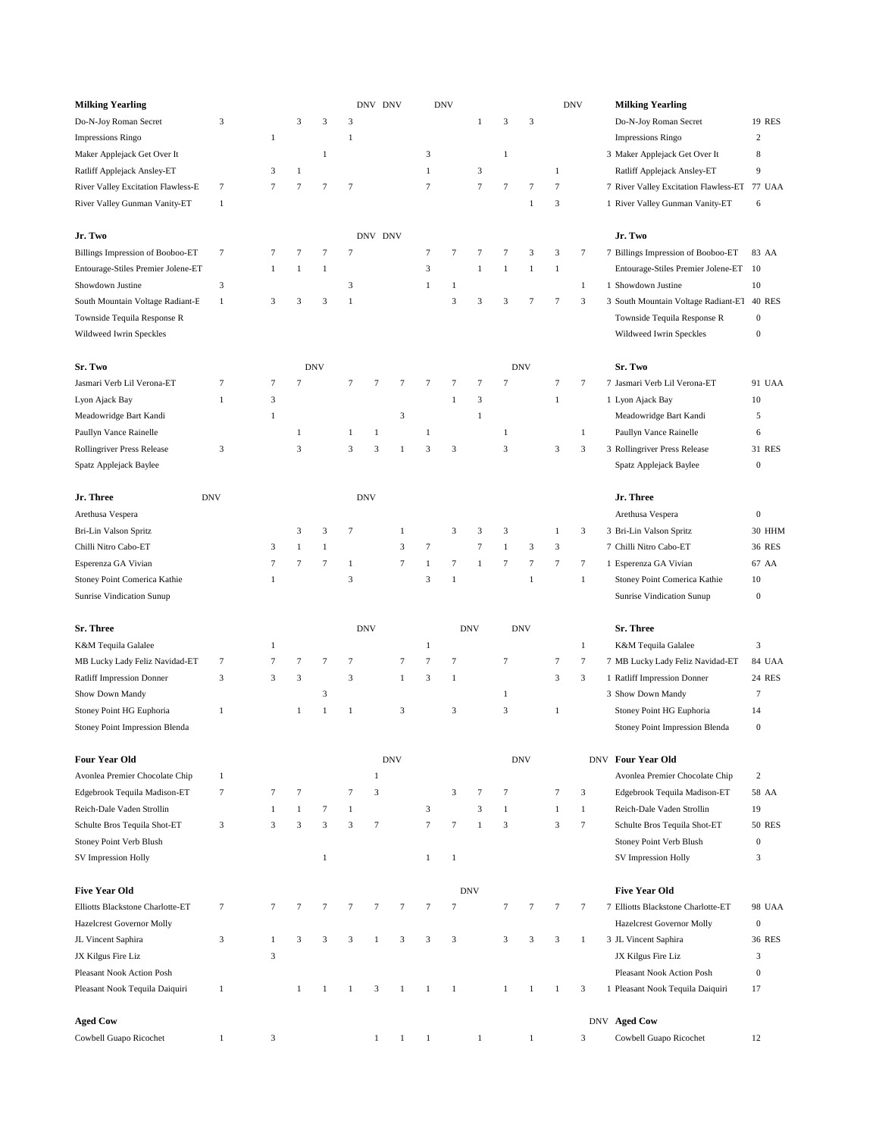| <b>Milking Yearling</b>                 |              |              |                |                         |                | DNV DNV      |              |               | <b>DNV</b>     |              |                |              |                | <b>DNV</b>   | <b>Milking Yearling</b>                    |                         |
|-----------------------------------------|--------------|--------------|----------------|-------------------------|----------------|--------------|--------------|---------------|----------------|--------------|----------------|--------------|----------------|--------------|--------------------------------------------|-------------------------|
| Do-N-Joy Roman Secret                   | 3            |              | 3              | 3                       | 3              |              |              |               |                | $\mathbf{1}$ | 3              | 3            |                |              | Do-N-Joy Roman Secret                      | 19 RES                  |
| Impressions Ringo                       |              | $\mathbf{1}$ |                |                         | $\mathbf{1}$   |              |              |               |                |              |                |              |                |              | Impressions Ringo                          | $\overline{\mathbf{c}}$ |
| Maker Applejack Get Over It             |              |              |                | $\mathbf{1}$            |                |              |              | 3             |                |              | $\mathbf{1}$   |              |                |              | 3 Maker Applejack Get Over It              | 8                       |
| Ratliff Applejack Ansley-ET             |              | 3            | $\mathbf{1}$   |                         |                |              |              | $\mathbf{1}$  |                | 3            |                |              | $\,1\,$        |              | Ratliff Applejack Ansley-ET                | 9                       |
| River Valley Excitation Flawless-E      | $\tau$       | $\tau$       | $\tau$         | $\tau$                  | $\overline{7}$ |              |              | $\tau$        |                | $\tau$       | $\overline{7}$ | $\tau$       | $\tau$         |              | 7 River Valley Excitation Flawless-ET      | 77 UAA                  |
| River Valley Gunman Vanity-ET           | $\mathbf{1}$ |              |                |                         |                |              |              |               |                |              |                | $\mathbf{1}$ | 3              |              | 1 River Valley Gunman Vanity-ET            | 6                       |
|                                         |              |              |                |                         |                |              |              |               |                |              |                |              |                |              |                                            |                         |
| Jr. Two                                 |              |              |                |                         |                | DNV DNV      |              |               |                |              |                |              |                |              | Jr. Two                                    |                         |
| <b>Billings Impression of Booboo-ET</b> | $\tau$       | 7            | 7              | $\overline{7}$          | $\tau$         |              |              | 7             | $\tau$         | 7            | $\overline{7}$ | 3            | 3              | 7            | 7 Billings Impression of Booboo-ET         | 83 AA                   |
| Entourage-Stiles Premier Jolene-ET      |              | $\mathbf{1}$ | $\mathbf{1}$   | $\mathbf{1}$            |                |              |              | 3             |                | $\mathbf{1}$ | 1              | $\mathbf{1}$ | $\mathbf{1}$   |              | Entourage-Stiles Premier Jolene-ET         | 10                      |
| Showdown Justine                        | 3            |              |                |                         | 3              |              |              | $\mathbf{1}$  | $\mathbf{1}$   |              |                |              |                | $\mathbf{1}$ | 1 Showdown Justine                         | 10                      |
| South Mountain Voltage Radiant-E        | $\mathbf{1}$ | 3            | 3              | 3                       | $\mathbf{1}$   |              |              |               | $\sqrt{3}$     | 3            | 3              | 7            | 7              | 3            | 3 South Mountain Voltage Radiant-ET 40 RES |                         |
| Townside Tequila Response R             |              |              |                |                         |                |              |              |               |                |              |                |              |                |              | Townside Tequila Response R                | $\boldsymbol{0}$        |
| Wildweed Iwrin Speckles                 |              |              |                |                         |                |              |              |               |                |              |                |              |                |              | Wildweed Iwrin Speckles                    | $\boldsymbol{0}$        |
|                                         |              |              |                |                         |                |              |              |               |                |              |                |              |                |              |                                            |                         |
| Sr. Two                                 |              |              |                | <b>DNV</b>              |                |              |              |               |                |              |                | <b>DNV</b>   |                |              | Sr. Two                                    |                         |
| Jasmari Verb Lil Verona-ET              | 7            | 7            | 7              |                         | $\tau$         | 7            | 7            | 7             | $\tau$         | 7            | $\overline{7}$ |              | 7              | 7            | 7 Jasmari Verb Lil Verona-ET               | 91 UAA                  |
| Lyon Ajack Bay                          | $\mathbf{1}$ | 3            |                |                         |                |              |              |               | $\mathbf{1}$   | 3            |                |              | $\mathbf{1}$   |              | 1 Lyon Ajack Bay                           | 10                      |
| Meadowridge Bart Kandi                  |              | $\mathbf{1}$ |                |                         |                |              | 3            |               |                | $\mathbf{1}$ |                |              |                |              | Meadowridge Bart Kandi                     | 5                       |
| Paullyn Vance Rainelle                  |              |              | $\mathbf{1}$   |                         | 1              | 1            |              | $\mathbf{1}$  |                |              | $\mathbf{1}$   |              |                | $\mathbf{1}$ | Paullyn Vance Rainelle                     | 6                       |
| Rollingriver Press Release              | 3            |              | 3              |                         | 3              | 3            | $\mathbf{1}$ | 3             | 3              |              | 3              |              | 3              | 3            | 3 Rollingriver Press Release               | 31 RES                  |
| Spatz Applejack Baylee                  |              |              |                |                         |                |              |              |               |                |              |                |              |                |              | Spatz Applejack Baylee                     | $\boldsymbol{0}$        |
|                                         |              |              |                |                         |                |              |              |               |                |              |                |              |                |              |                                            |                         |
| Jr. Three                               | <b>DNV</b>   |              |                |                         |                | <b>DNV</b>   |              |               |                |              |                |              |                |              | Jr. Three                                  |                         |
| Arethusa Vespera                        |              |              |                |                         |                |              |              |               |                |              |                |              |                |              | Arethusa Vespera                           | $\boldsymbol{0}$        |
| Bri-Lin Valson Spritz                   |              |              | 3              | 3                       | $\tau$         |              | $\mathbf{1}$ |               | 3              | 3            | 3              |              | 1              | 3            | 3 Bri-Lin Valson Spritz                    | 30 HHM                  |
| Chilli Nitro Cabo-ET                    |              | 3            | $\mathbf{1}$   | $\mathbf{1}$            |                |              | 3            | 7             |                | $\tau$       | $\mathbf{1}$   | 3            | 3              |              | 7 Chilli Nitro Cabo-ET                     | 36 RES                  |
| Esperenza GA Vivian                     |              | $\tau$       | 7              | $\overline{7}$          | $\mathbf{1}$   |              | $\tau$       | $\mathbf{1}$  | $\overline{7}$ | $\mathbf{1}$ | $\tau$         | $\tau$       | 7              | $\tau$       | 1 Esperenza GA Vivian                      | 67 AA                   |
| Stoney Point Comerica Kathie            |              | $\mathbf{1}$ |                |                         | 3              |              |              | 3             | 1              |              |                | $\mathbf{1}$ |                | $\mathbf{1}$ | Stoney Point Comerica Kathie               | 10                      |
| Sunrise Vindication Sunup               |              |              |                |                         |                |              |              |               |                |              |                |              |                |              | Sunrise Vindication Sunup                  | $\boldsymbol{0}$        |
|                                         |              |              |                |                         |                |              |              |               |                |              |                |              |                |              |                                            |                         |
| Sr. Three                               |              |              |                |                         |                | <b>DNV</b>   |              |               |                | <b>DNV</b>   |                | <b>DNV</b>   |                |              | Sr. Three                                  |                         |
| K&M Tequila Galalee                     |              | $\mathbf{1}$ |                |                         |                |              |              | $1\,$         |                |              |                |              |                | $\mathbf{1}$ | K&M Tequila Galalee                        | 3                       |
| MB Lucky Lady Feliz Navidad-ET          | $\tau$       | $\tau$       | $\tau$         | $\tau$                  | $\tau$         |              | $\tau$       | $\tau$        | $\tau$         |              | 7              |              | 7              | $\tau$       | 7 MB Lucky Lady Feliz Navidad-ET           | 84 UAA                  |
| <b>Ratliff Impression Donner</b>        | 3            | 3            | $\overline{3}$ |                         | $\overline{3}$ |              | $\mathbf{1}$ | $\mathfrak z$ | $\mathbf{1}$   |              |                |              | 3              | 3            | 1 Ratliff Impression Donner                | 24 RES                  |
| Show Down Mandy                         |              |              |                | $\overline{\mathbf{3}}$ |                |              |              |               |                |              | $\mathbf{1}$   |              |                |              | 3 Show Down Mandy                          | 7                       |
| Stoney Point HG Euphoria                | $\mathbf{1}$ |              | $\mathbf{1}$   | $\mathbf{1}$            | $\mathbf{1}$   |              | 3            |               | $\mathfrak{Z}$ |              | 3              |              | $\mathbf{1}$   |              | Stoney Point HG Euphoria                   | 14                      |
| Stoney Point Impression Blenda          |              |              |                |                         |                |              |              |               |                |              |                |              |                |              | Stoney Point Impression Blenda             | $\boldsymbol{0}$        |
|                                         |              |              |                |                         |                |              |              |               |                |              |                |              |                |              |                                            |                         |
| <b>Four Year Old</b>                    |              |              |                |                         |                |              | <b>DNV</b>   |               |                |              |                | <b>DNV</b>   |                |              | DNV Four Year Old                          |                         |
| Avonlea Premier Chocolate Chip          | 1            |              |                |                         |                | 1            |              |               |                |              |                |              |                |              | Avonlea Premier Chocolate Chip             | 2                       |
| Edgebrook Tequila Madison-ET            | 7            | 7            | 7              |                         | $\tau$         | 3            |              |               | 3              | 7            | 7              |              | 7              | 3            | Edgebrook Tequila Madison-ET               | 58 AA                   |
| Reich-Dale Vaden Strollin               |              | $\mathbf{1}$ | $\mathbf{1}$   | $\tau$                  | $\mathbf{1}$   |              |              | $\mathfrak z$ |                | 3            | $\mathbf{1}$   |              | $\mathbf{1}$   | 1            | Reich-Dale Vaden Strollin                  | 19                      |
| Schulte Bros Tequila Shot-ET            | 3            | 3            | 3              | $\mathfrak{Z}$          | 3              | $\tau$       |              | $\tau$        | $\tau$         | $\mathbf{1}$ | 3              |              | 3              | $\tau$       | Schulte Bros Tequila Shot-ET               | <b>50 RES</b>           |
| Stoney Point Verb Blush                 |              |              |                |                         |                |              |              |               |                |              |                |              |                |              | Stoney Point Verb Blush                    | $\boldsymbol{0}$        |
| SV Impression Holly                     |              |              |                | $\mathbf{1}$            |                |              |              | $\mathbf{1}$  | $\mathbf{1}$   |              |                |              |                |              | SV Impression Holly                        | 3                       |
|                                         |              |              |                |                         |                |              |              |               |                |              |                |              |                |              |                                            |                         |
| <b>Five Year Old</b>                    |              |              |                |                         |                |              |              |               |                | <b>DNV</b>   |                |              |                |              | <b>Five Year Old</b>                       |                         |
| Elliotts Blackstone Charlotte-ET        | 7            | $\tau$       | 7              | $\overline{7}$          | $\tau$         | 7            | $\tau$       | $\tau$        | $\overline{7}$ |              | $\tau$         | 7            | $\tau$         | $\tau$       | 7 Elliotts Blackstone Charlotte-ET         | 98 UAA                  |
| <b>Hazelcrest Governor Molly</b>        |              |              |                |                         |                |              |              |               |                |              |                |              |                |              | Hazelcrest Governor Molly                  | $\boldsymbol{0}$        |
| JL Vincent Saphira                      | 3            | $\mathbf{1}$ | 3              | $\mathfrak{Z}$          | 3              | $\mathbf{1}$ | 3            | $\mathfrak z$ | $\sqrt{3}$     |              | 3              | 3            | $\overline{3}$ | $\mathbf{1}$ | 3 JL Vincent Saphira                       | 36 RES                  |
| JX Kilgus Fire Liz                      |              | 3            |                |                         |                |              |              |               |                |              |                |              |                |              | JX Kilgus Fire Liz                         | 3                       |
| Pleasant Nook Action Posh               |              |              |                |                         |                |              |              |               |                |              |                |              |                |              | Pleasant Nook Action Posh                  | $\boldsymbol{0}$        |
| Pleasant Nook Tequila Daiquiri          | 1            |              | 1              | 1                       | $\mathbf{1}$   | 3            | 1            | $\mathbf{1}$  | $\mathbf{1}$   |              | $\mathbf{1}$   | $\mathbf{1}$ | 1              | 3            | 1 Pleasant Nook Tequila Daiquiri           | 17                      |
|                                         |              |              |                |                         |                |              |              |               |                |              |                |              |                |              |                                            |                         |
| <b>Aged Cow</b>                         |              |              |                |                         |                |              |              |               |                |              |                |              |                |              | DNV Aged Cow                               |                         |
| Cowbell Guapo Ricochet                  | $\mathbf{1}$ | 3            |                |                         |                | $\mathbf{1}$ | $\mathbf{1}$ | $\mathbf{1}$  |                | $\mathbf{1}$ |                | $\mathbf{1}$ |                | 3            | Cowbell Guapo Ricochet                     | 12                      |

|    | Do-N-Joy Roman Secret                        | <b>19 RES</b>  |
|----|----------------------------------------------|----------------|
|    | <b>Impressions Ringo</b>                     | $\overline{c}$ |
|    | 3 Maker Applejack Get Over It                | 8              |
|    | Ratliff Applejack Ansley-ET                  | 9              |
|    | 7 River Valley Excitation Flawless-ET        | <b>77 UAA</b>  |
| 1  | River Valley Gunman Vanity-ET                | 6              |
|    |                                              |                |
|    | Jr. Two                                      |                |
|    | 7 Billings Impression of Booboo-ET           | 83 AA          |
|    | Entourage-Stiles Premier Jolene-ET           | 10             |
| 1  | Showdown Justine                             | 10             |
|    | 3 South Mountain Voltage Radiant-ET          | <b>40 RES</b>  |
|    | Townside Tequila Response R                  | $\bf{0}$       |
|    | Wildweed Iwrin Speckles                      | $\overline{0}$ |
|    |                                              |                |
|    | Sr. Two                                      |                |
|    | 7 Jasmari Verb Lil Verona-ET                 | 91 UAA         |
|    | 1 Lyon Ajack Bay                             | 10             |
|    | Meadowridge Bart Kandi                       | 5              |
|    | Paullyn Vance Rainelle                       | 6<br>31 RES    |
|    | 3 Rollingriver Press Release                 | $\overline{0}$ |
|    | Spatz Applejack Baylee                       |                |
|    | Jr. Three                                    |                |
|    | Arethusa Vespera                             | $\overline{0}$ |
|    | 3 Bri-Lin Valson Spritz                      | 30 HHM         |
|    | 7 Chilli Nitro Cabo-ET                       | <b>36 RES</b>  |
|    | 1 Esperenza GA Vivian                        | 67 AA          |
|    | Stoney Point Comerica Kathie                 | 10             |
|    | <b>Sunrise Vindication Sunup</b>             | $\bf{0}$       |
|    |                                              |                |
|    | Sr. Three                                    |                |
|    | K&M Tequila Galalee                          | 3              |
|    | 7 MB Lucky Lady Feliz Navidad-ET             | 84 UAA         |
| 1  | <b>Ratliff Impression Donner</b>             | 24 RES         |
|    | 3 Show Down Mandy                            | 7              |
|    | Stoney Point HG Euphoria                     | 14             |
|    | Stoney Point Impression Blenda               | 0              |
| ٧V | <b>Four Year Old</b>                         |                |
|    | Avonlea Premier Chocolate Chip               | 2              |
|    | Edgebrook Tequila Madison-ET                 | 58 AA          |
|    | Reich-Dale Vaden Strollin                    | 19             |
|    | Schulte Bros Tequila Shot-ET                 | <b>50 RES</b>  |
|    | Stoney Point Verb Blush                      | $\overline{0}$ |
|    | <b>SV</b> Impression Holly                   | 3              |
|    |                                              |                |
|    | <b>Five Year Old</b>                         |                |
|    | 7 Elliotts Blackstone Charlotte-ET           | 98 UAA         |
|    | Hazelcrest Governor Molly                    | $\overline{0}$ |
|    | 3 JL Vincent Saphira                         | <b>36 RES</b>  |
|    | JX Kilgus Fire Liz                           | 3              |
|    | Pleasant Nook Action Posh                    | 0              |
|    | 1 Pleasant Nook Tequila Daiquiri             | 17             |
|    |                                              |                |
|    | <b>NV</b> Aged Cow<br>Cowbell Guapo Ricochet | 12             |
|    |                                              |                |